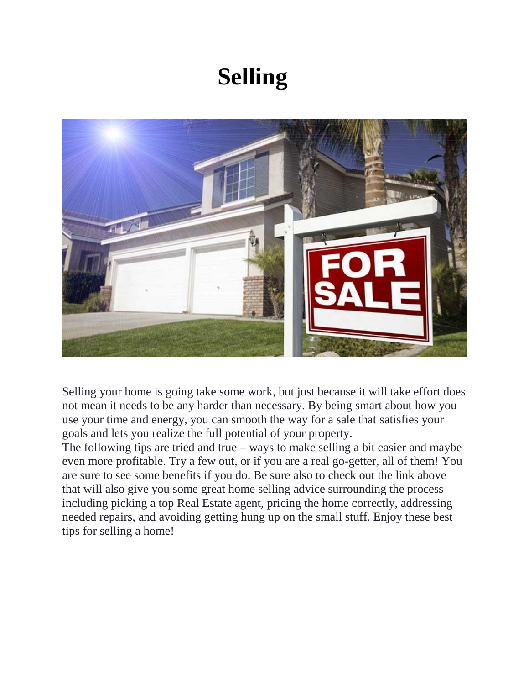# **Selling**



Selling your home is going take some work, but just because it will take effort does not mean it needs to be any harder than necessary. By being smart about how you use your time and energy, you can smooth the way for a sale that satisfies your goals and lets you realize the full potential of your property.

The following tips are tried and true – ways to make selling a bit easier and maybe even more profitable. Try a few out, or if you are a real go-getter, all of them! You are sure to see some benefits if you do. Be sure also to check out the link above that will also give you some great home selling advice surrounding the process including picking a top Real Estate agent, pricing the home correctly, addressing needed repairs, and avoiding getting hung up on the small stuff. Enjoy these best tips for selling a home!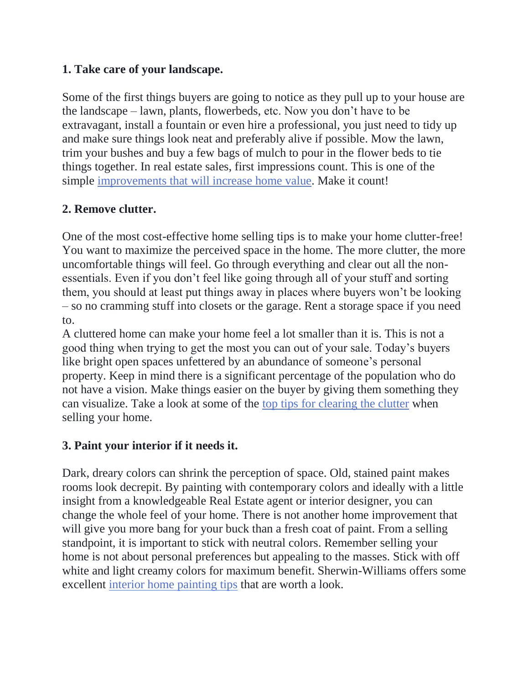## **1. Take care of your landscape.**

Some of the first things buyers are going to notice as they pull up to your house are the landscape – lawn, plants, flowerbeds, etc. Now you don't have to be extravagant, install a fountain or even hire a professional, you just need to tidy up and make sure things look neat and preferably alive if possible. Mow the lawn, trim your bushes and buy a few bags of mulch to pour in the flower beds to tie things together. In real estate sales, first impressions count. This is one of the simple [improvements that will increase home value.](https://www.maxrealestateexposure.com/improvements-that-will-boost-your-homes-value/) Make it count!

# **2. Remove clutter.**

One of the most cost-effective home selling tips is to make your home clutter-free! You want to maximize the perceived space in the home. The more clutter, the more uncomfortable things will feel. Go through everything and clear out all the nonessentials. Even if you don't feel like going through all of your stuff and sorting them, you should at least put things away in places where buyers won't be looking – so no cramming stuff into closets or the garage. Rent a storage space if you need to.

A cluttered home can make your home feel a lot smaller than it is. This is not a good thing when trying to get the most you can out of your sale. Today's buyers like bright open spaces unfettered by an abundance of someone's personal property. Keep in mind there is a significant percentage of the population who do not have a vision. Make things easier on the buyer by giving them something they can visualize. Take a look at some of the [top tips for clearing the clutter](http://www.point2homes.com/agent-websites/blog/2014/10/15/9-ways-clean-clutter-selling-home/) when selling your home.

# **3. Paint your interior if it needs it.**

Dark, dreary colors can shrink the perception of space. Old, stained paint makes rooms look decrepit. By painting with contemporary colors and ideally with a little insight from a knowledgeable Real Estate agent or interior designer, you can change the whole feel of your home. There is not another home improvement that will give you more bang for your buck than a fresh coat of paint. From a selling standpoint, it is important to stick with neutral colors. Remember selling your home is not about personal preferences but appealing to the masses. Stick with off white and light creamy colors for maximum benefit. Sherwin-Williams offers some excellent [interior home painting tips](http://www.sherwin-williams.com/homeowners/ask-sherwin-williams/painting/interior-painting-how-tos/) that are worth a look.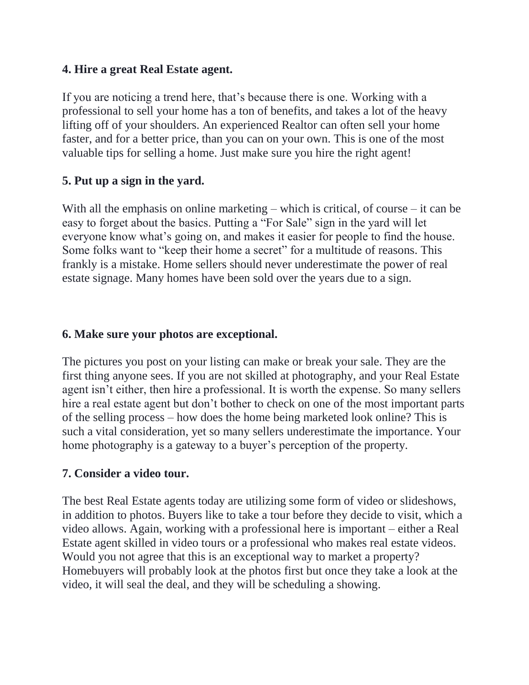#### **4. Hire a great Real Estate agent.**

If you are noticing a trend here, that's because there is one. Working with a professional to sell your home has a ton of benefits, and takes a lot of the heavy lifting off of your shoulders. An experienced Realtor can often sell your home faster, and for a better price, than you can on your own. This is one of the most valuable tips for selling a home. Just make sure you hire the right agent!

#### **5. Put up a sign in the yard.**

With all the emphasis on online marketing – which is critical, of course – it can be easy to forget about the basics. Putting a "For Sale" sign in the yard will let everyone know what's going on, and makes it easier for people to find the house. Some folks want to "keep their home a secret" for a multitude of reasons. This frankly is a mistake. Home sellers should never underestimate the power of real estate signage. Many homes have been sold over the years due to a sign.

#### **6. Make sure your photos are exceptional.**

The pictures you post on your listing can make or break your sale. They are the first thing anyone sees. If you are not skilled at photography, and your Real Estate agent isn't either, then hire a professional. It is worth the expense. So many sellers hire a real estate agent but don't bother to check on one of the most important parts of the selling process – how does the home being marketed look online? This is such a vital consideration, yet so many sellers underestimate the importance. Your home photography is a gateway to a buyer's perception of the property.

## **7. Consider a video tour.**

The best Real Estate agents today are utilizing some form of video or slideshows, in addition to photos. Buyers like to take a tour before they decide to visit, which a video allows. Again, working with a professional here is important – either a Real Estate agent skilled in video tours or a professional who makes real estate videos. Would you not agree that this is an exceptional way to market a property? Homebuyers will probably look at the photos first but once they take a look at the video, it will seal the deal, and they will be scheduling a showing.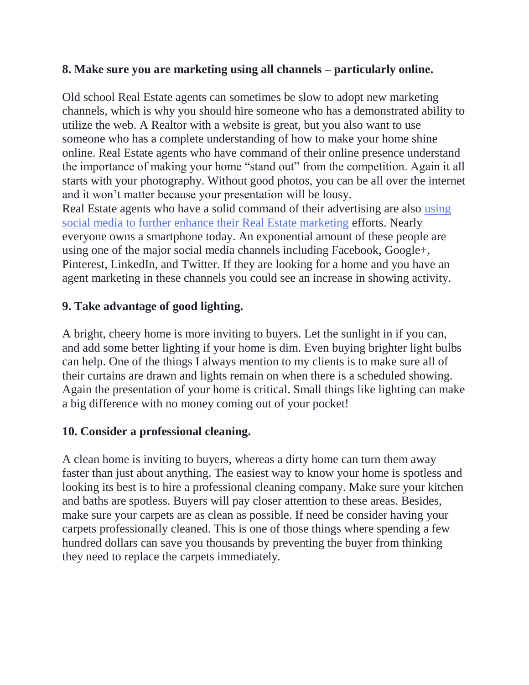## **8. Make sure you are marketing using all channels – particularly online.**

Old school Real Estate agents can sometimes be slow to adopt new marketing channels, which is why you should hire someone who has a demonstrated ability to utilize the web. A Realtor with a website is great, but you also want to use someone who has a complete understanding of how to make your home shine online. Real Estate agents who have command of their online presence understand the importance of making your home "stand out" from the competition. Again it all starts with your photography. Without good photos, you can be all over the internet and it won't matter because your presentation will be lousy. Real Estate agents who have a solid command of their advertising are also [using](http://abovemag.remax.com/secrets-from-a-social-media-master/)  [social media to further enhance their Real Estate marketing](http://abovemag.remax.com/secrets-from-a-social-media-master/) efforts. Nearly everyone owns a smartphone today. An exponential amount of these people are

using one of the major social media channels including Facebook, Google+, Pinterest, LinkedIn, and Twitter. If they are looking for a home and you have an agent marketing in these channels you could see an increase in showing activity.

## **9. Take advantage of good lighting.**

A bright, cheery home is more inviting to buyers. Let the sunlight in if you can, and add some better lighting if your home is dim. Even buying brighter light bulbs can help. One of the things I always mention to my clients is to make sure all of their curtains are drawn and lights remain on when there is a scheduled showing. Again the presentation of your home is critical. Small things like lighting can make a big difference with no money coming out of your pocket!

## **10. Consider a professional cleaning.**

A clean home is inviting to buyers, whereas a dirty home can turn them away faster than just about anything. The easiest way to know your home is spotless and looking its best is to hire a professional cleaning company. Make sure your kitchen and baths are spotless. Buyers will pay closer attention to these areas. Besides, make sure your carpets are as clean as possible. If need be consider having your carpets professionally cleaned. This is one of those things where spending a few hundred dollars can save you thousands by preventing the buyer from thinking they need to replace the carpets immediately.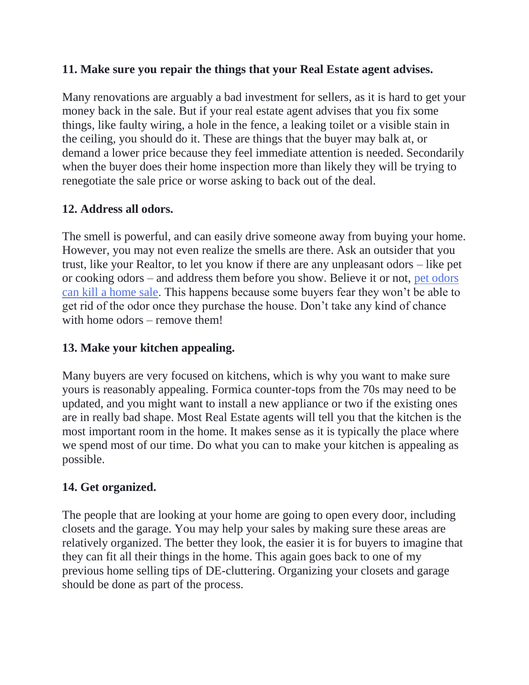#### **11. Make sure you repair the things that your Real Estate agent advises.**

Many renovations are arguably a bad investment for sellers, as it is hard to get your money back in the sale. But if your real estate agent advises that you fix some things, like faulty wiring, a hole in the fence, a leaking toilet or a visible stain in the ceiling, you should do it. These are things that the buyer may balk at, or demand a lower price because they feel immediate attention is needed. Secondarily when the buyer does their home inspection more than likely they will be trying to renegotiate the sale price or worse asking to back out of the deal.

## **12. Address all odors.**

The smell is powerful, and can easily drive someone away from buying your home. However, you may not even realize the smells are there. Ask an outsider that you trust, like your Realtor, to let you know if there are any unpleasant odors – like pet or cooking odors – and address them before you show. Believe it or not, [pet odors](http://www.rochesterrealestateblog.com/pet-odors-can-kill-home-sale/)  [can kill a home sale.](http://www.rochesterrealestateblog.com/pet-odors-can-kill-home-sale/) This happens because some buyers fear they won't be able to get rid of the odor once they purchase the house. Don't take any kind of chance with home odors – remove them!

#### **13. Make your kitchen appealing.**

Many buyers are very focused on kitchens, which is why you want to make sure yours is reasonably appealing. Formica counter-tops from the 70s may need to be updated, and you might want to install a new appliance or two if the existing ones are in really bad shape. Most Real Estate agents will tell you that the kitchen is the most important room in the home. It makes sense as it is typically the place where we spend most of our time. Do what you can to make your kitchen is appealing as possible.

## **14. Get organized.**

The people that are looking at your home are going to open every door, including closets and the garage. You may help your sales by making sure these areas are relatively organized. The better they look, the easier it is for buyers to imagine that they can fit all their things in the home. This again goes back to one of my previous home selling tips of DE-cluttering. Organizing your closets and garage should be done as part of the process.